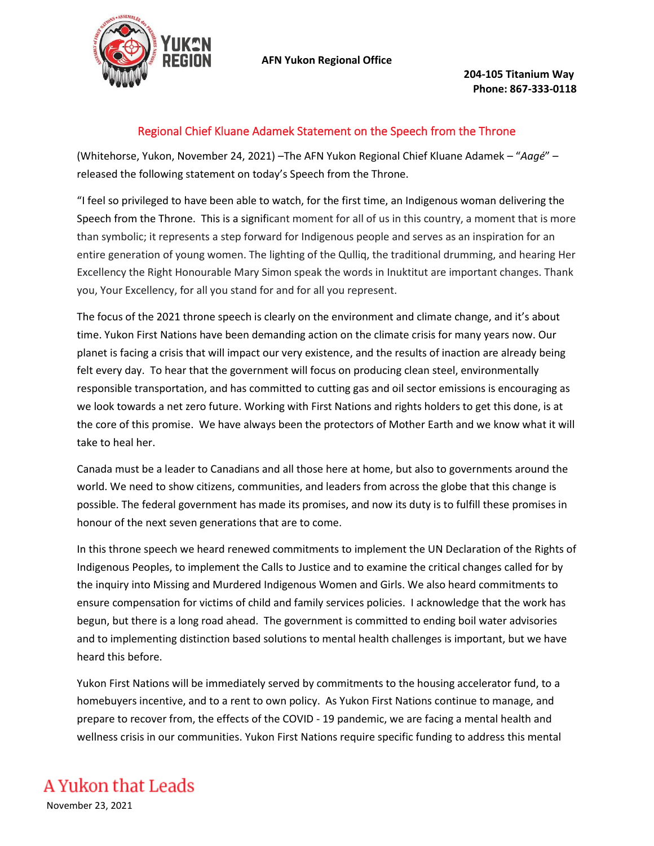

**204-105 Titanium Way Phone: 867-333-0118**

## Regional Chief Kluane Adamek Statement on the Speech from the Throne

(Whitehorse, Yukon, November 24, 2021) –The AFN Yukon Regional Chief Kluane Adamek – "*Aagé*" – released the following statement on today's Speech from the Throne.

"I feel so privileged to have been able to watch, for the first time, an Indigenous woman delivering the Speech from the Throne. This is a significant moment for all of us in this country, a moment that is more than symbolic; it represents a step forward for Indigenous people and serves as an inspiration for an entire generation of young women. The lighting of the Qulliq, the traditional drumming, and hearing Her Excellency the Right Honourable Mary Simon speak the words in Inuktitut are important changes. Thank you, Your Excellency, for all you stand for and for all you represent.

The focus of the 2021 throne speech is clearly on the environment and climate change, and it's about time. Yukon First Nations have been demanding action on the climate crisis for many years now. Our planet is facing a crisis that will impact our very existence, and the results of inaction are already being felt every day. To hear that the government will focus on producing clean steel, environmentally responsible transportation, and has committed to cutting gas and oil sector emissions is encouraging as we look towards a net zero future. Working with First Nations and rights holders to get this done, is at the core of this promise. We have always been the protectors of Mother Earth and we know what it will take to heal her.

Canada must be a leader to Canadians and all those here at home, but also to governments around the world. We need to show citizens, communities, and leaders from across the globe that this change is possible. The federal government has made its promises, and now its duty is to fulfill these promises in honour of the next seven generations that are to come.

In this throne speech we heard renewed commitments to implement the UN Declaration of the Rights of Indigenous Peoples, to implement the Calls to Justice and to examine the critical changes called for by the inquiry into Missing and Murdered Indigenous Women and Girls. We also heard commitments to ensure compensation for victims of child and family services policies. I acknowledge that the work has begun, but there is a long road ahead. The government is committed to ending boil water advisories and to implementing distinction based solutions to mental health challenges is important, but we have heard this before.

Yukon First Nations will be immediately served by commitments to the housing accelerator fund, to a homebuyers incentive, and to a rent to own policy. As Yukon First Nations continue to manage, and prepare to recover from, the effects of the COVID - 19 pandemic, we are facing a mental health and wellness crisis in our communities. Yukon First Nations require specific funding to address this mental

## A Yukon that Leads

November 23, 2021